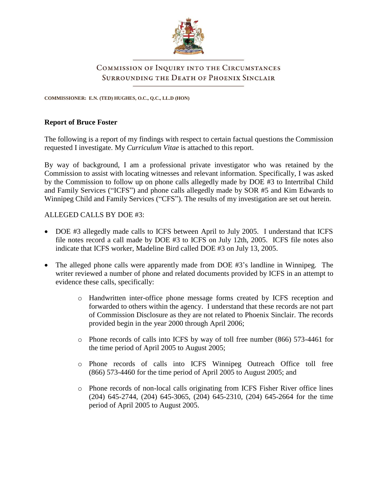

# COMMISSION OF INQUIRY INTO THE CIRCUMSTANCES **SURROUNDING THE DEATH OF PHOENIX SINCLAIR**

**COMMISSIONER: E.N. (TED) HUGHES, O.C., Q.C., LL.D (HON)**

### **Report of Bruce Foster**

The following is a report of my findings with respect to certain factual questions the Commission requested I investigate. My *Curriculum Vitae* is attached to this report.

By way of background, I am a professional private investigator who was retained by the Commission to assist with locating witnesses and relevant information. Specifically, I was asked by the Commission to follow up on phone calls allegedly made by DOE #3 to Intertribal Child and Family Services ("ICFS") and phone calls allegedly made by SOR #5 and Kim Edwards to Winnipeg Child and Family Services ("CFS"). The results of my investigation are set out herein.

### ALLEGED CALLS BY DOE #3:

- DOE #3 allegedly made calls to ICFS between April to July 2005. I understand that ICFS file notes record a call made by DOE #3 to ICFS on July 12th, 2005. ICFS file notes also indicate that ICFS worker, Madeline Bird called DOE #3 on July 13, 2005.
- The alleged phone calls were apparently made from DOE #3's landline in Winnipeg. The writer reviewed a number of phone and related documents provided by ICFS in an attempt to evidence these calls, specifically:
	- o Handwritten inter-office phone message forms created by ICFS reception and forwarded to others within the agency. I understand that these records are not part of Commission Disclosure as they are not related to Phoenix Sinclair. The records provided begin in the year 2000 through April 2006;
	- o Phone records of calls into ICFS by way of toll free number (866) 573-4461 for the time period of April 2005 to August 2005;
	- o Phone records of calls into ICFS Winnipeg Outreach Office toll free (866) 573-4460 for the time period of April 2005 to August 2005; and
	- o Phone records of non-local calls originating from ICFS Fisher River office lines (204) 645-2744, (204) 645-3065, (204) 645-2310, (204) 645-2664 for the time period of April 2005 to August 2005.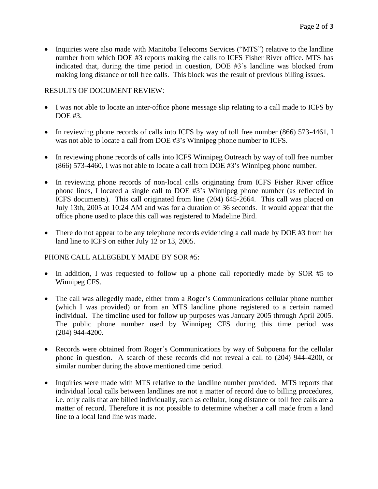• Inquiries were also made with Manitoba Telecoms Services ("MTS") relative to the landline number from which DOE #3 reports making the calls to ICFS Fisher River office. MTS has indicated that, during the time period in question, DOE #3's landline was blocked from making long distance or toll free calls. This block was the result of previous billing issues.

### RESULTS OF DOCUMENT REVIEW:

- I was not able to locate an inter-office phone message slip relating to a call made to ICFS by DOE #3.
- In reviewing phone records of calls into ICFS by way of toll free number (866) 573-4461, I was not able to locate a call from DOE #3's Winnipeg phone number to ICFS.
- In reviewing phone records of calls into ICFS Winnipeg Outreach by way of toll free number (866) 573-4460, I was not able to locate a call from DOE #3's Winnipeg phone number.
- In reviewing phone records of non-local calls originating from ICFS Fisher River office phone lines, I located a single call to DOE #3's Winnipeg phone number (as reflected in ICFS documents). This call originated from line (204) 645-2664. This call was placed on July 13th, 2005 at 10:24 AM and was for a duration of 36 seconds. It would appear that the office phone used to place this call was registered to Madeline Bird.
- There do not appear to be any telephone records evidencing a call made by DOE #3 from her land line to ICFS on either July 12 or 13, 2005.

#### PHONE CALL ALLEGEDLY MADE BY SOR #5:

- In addition, I was requested to follow up a phone call reportedly made by SOR #5 to Winnipeg CFS.
- The call was allegedly made, either from a Roger's Communications cellular phone number (which I was provided) or from an MTS landline phone registered to a certain named individual. The timeline used for follow up purposes was January 2005 through April 2005. The public phone number used by Winnipeg CFS during this time period was (204) 944-4200.
- Records were obtained from Roger's Communications by way of Subpoena for the cellular phone in question. A search of these records did not reveal a call to (204) 944-4200, or similar number during the above mentioned time period.
- Inquiries were made with MTS relative to the landline number provided. MTS reports that individual local calls between landlines are not a matter of record due to billing procedures, i.e. only calls that are billed individually, such as cellular, long distance or toll free calls are a matter of record. Therefore it is not possible to determine whether a call made from a land line to a local land line was made.